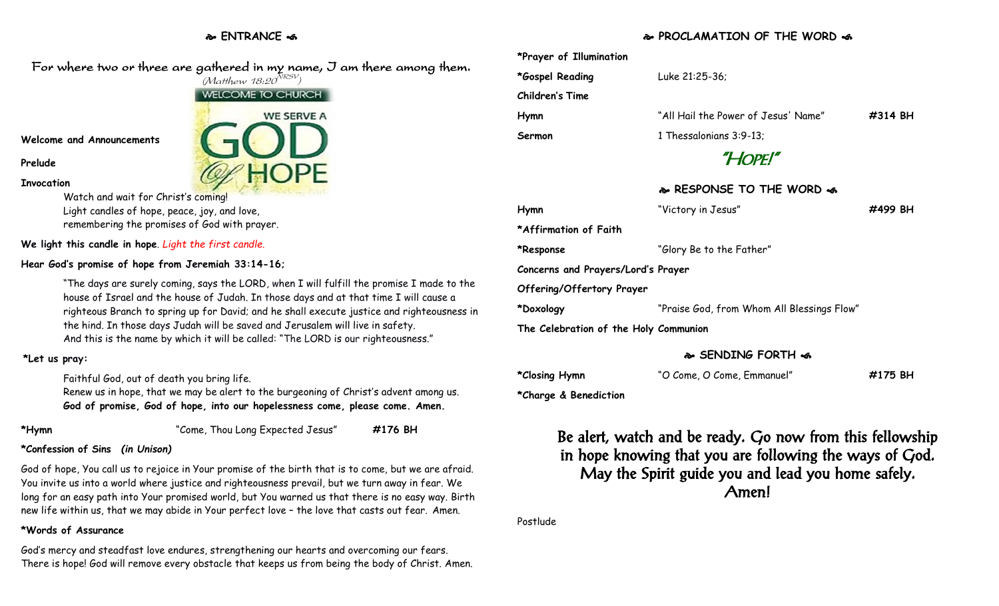# **ENTRANCE**

# **PROCLAMATION OF THE WORD**

| ۱.   | *Prayer of Illumination               |                                            |            |  |
|------|---------------------------------------|--------------------------------------------|------------|--|
|      | *Gospel Reading                       | Luke 21:25-36;                             |            |  |
|      | <b>Children's Time</b>                |                                            |            |  |
|      | Hymn                                  | "All Hail the Power of Jesus' Name"        | $\#314$ BH |  |
|      | Sermon                                | 1 Thessalonians 3:9-13;                    |            |  |
|      | "HOPE!"                               |                                            |            |  |
|      |                                       | & RESPONSE TO THE WORD &                   |            |  |
|      | Hymn                                  | "Victory in Jesus"                         | #499 BH    |  |
|      | *Affirmation of Faith                 |                                            |            |  |
|      | *Response                             | "Glory Be to the Father"                   |            |  |
|      | Concerns and Prayers/Lord's Prayer    |                                            |            |  |
| he   | Offering/Offertory Prayer             |                                            |            |  |
| s in | *Doxology                             | "Praise God, from Whom All Blessings Flow" |            |  |
|      | The Celebration of the Holy Communion |                                            |            |  |
|      |                                       | & SENDING FORTH &                          |            |  |
|      |                                       |                                            |            |  |

| *Closing Hymn | "O Come, O Come, Emmanuel" | #175 BH |
|---------------|----------------------------|---------|

**\*Charge & Benediction**

Be alert, watch and be ready. Go now from this fellowship in hope knowing that you are following the ways of God. May the Spirit guide you and lead you home safely. Amen!

Postlude

For where two or three are gathered in my name, I am there among them.  $(M$ atthew 18:20 $^{NRSV})$ 

Watch and wait for Christ's coming!

Light candles of hope, peace, joy, and love, remembering the promises of God with prayer.

**We light this candle in hope**. *Light the first candle.* 

#### **Hear God's promise of hope from Jeremiah 33:14-16;**

"The days are surely coming, says the LORD, when I will fulfill the promise I made to the house of Israel and the house of Judah. In those days and at that time I will cause a righteous Branch to spring up for David; and he shall execute justice and righteousness in the hind. In those days Judah will be saved and Jerusalem will live in safety. And this is the name by which it will be called: "The LORD is our righteousness."

## **\*Let us pray:**

Faithful God, out of death you bring life.

Renew us in hope, that we may be alert to the burgeoning of Christ's advent among us. **God of promise, God of hope, into our hopelessness come, please come. Amen.**

**Prelude**

**Invocation**

**\*Hymn** "Come, Thou Long Expected Jesus" **#176 BH**

## **\*Confession of Sins** *(in Unison)*

God of hope, You call us to rejoice in Your promise of the birth that is to come, but we are afraid. You invite us into a world where justice and righteousness prevail, but we turn away in fear. We long for an easy path into Your promised world, but You warned us that there is no easy way. Birth new life within us, that we may abide in Your perfect love – the love that casts out fear. Amen.

## **\*Words of Assurance**

God's mercy and steadfast love endures, strengthening our hearts and overcoming our fears. There is hope! God will remove every obstacle that keeps us from being the body of Christ. Amen.

**Welcome and Announcements**

WELCOME TO CHURCH **WE SERVE A**